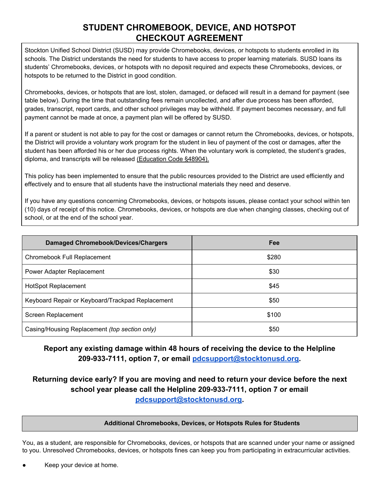# **STUDENT CHROMEBOOK, DEVICE, AND HOTSPOT CHECKOUT AGREEMENT**

Stockton Unified School District (SUSD) may provide Chromebooks, devices, or hotspots to students enrolled in its schools. The District understands the need for students to have access to proper learning materials. SUSD loans its students' Chromebooks, devices, or hotspots with no deposit required and expects these Chromebooks, devices, or hotspots to be returned to the District in good condition.

Chromebooks, devices, or hotspots that are lost, stolen, damaged, or defaced will result in a demand for payment (see table below). During the time that outstanding fees remain uncollected, and after due process has been afforded, grades, transcript, report cards, and other school privileges may be withheld. If payment becomes necessary, and full payment cannot be made at once, a payment plan will be offered by SUSD.

If a parent or student is not able to pay for the cost or damages or cannot return the Chromebooks, devices, or hotspots, the District will provide a voluntary work program for the student in lieu of payment of the cost or damages, after the student has been afforded his or her due process rights. When the voluntary work is completed, the student's grades, diploma, and transcripts will be released [\(Education](https://www.cde.ca.gov/ci/cr/cf/instrmatliable.asp) Code §48904).

This policy has been implemented to ensure that the public resources provided to the District are used efficiently and effectively and to ensure that all students have the instructional materials they need and deserve.

If you have any questions concerning Chromebooks, devices, or hotspots issues, please contact your school within ten (10) days of receipt of this notice. Chromebooks, devices, or hotspots are due when changing classes, checking out of school, or at the end of the school year.

| <b>Damaged Chromebook/Devices/Chargers</b>       | <b>Fee</b> |
|--------------------------------------------------|------------|
| Chromebook Full Replacement                      | \$280      |
| Power Adapter Replacement                        | \$30       |
| <b>HotSpot Replacement</b>                       | \$45       |
| Keyboard Repair or Keyboard/Trackpad Replacement | \$50       |
| Screen Replacement                               | \$100      |
| Casing/Housing Replacement (top section only)    | \$50       |

## **Report any existing damage within 48 hours of receiving the device to the Helpline 209-933-7111, option 7, or email [pdcsupport@stocktonusd.org.](mailto:pdcsupport@stocktonusd.org)**

## **Returning device early? If you are moving and need to return your device before the next school year please call the Helpline 209-933-7111, option 7 or email [pdcsupport@stocktonusd.org.](mailto:pdcsupport@stocktonusd.org)**

#### **Additional Chromebooks, Devices, or Hotspots Rules for Students**

You, as a student, are responsible for Chromebooks, devices, or hotspots that are scanned under your name or assigned to you. Unresolved Chromebooks, devices, or hotspots fines can keep you from participating in extracurricular activities.